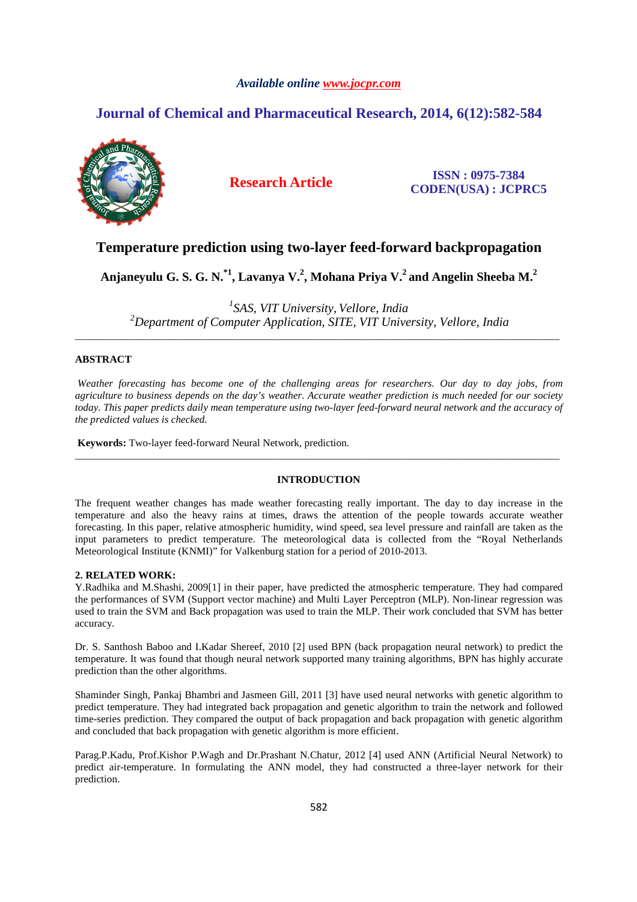## *Available online www.jocpr.com*

# **Journal of Chemical and Pharmaceutical Research, 2014, 6(12):582-584**



**Research Article ISSN : 0975-7384 CODEN(USA) : JCPRC5**

## **Temperature prediction using two-layer feed-forward backpropagation**

**Anjaneyulu G. S. G. N.\*1, Lavanya V.<sup>2</sup> , Mohana Priya V.<sup>2</sup>and Angelin Sheeba M.<sup>2</sup>**

*1 SAS, VIT University, Vellore, India <sup>2</sup>Department of Computer Application, SITE, VIT University, Vellore, India*  \_\_\_\_\_\_\_\_\_\_\_\_\_\_\_\_\_\_\_\_\_\_\_\_\_\_\_\_\_\_\_\_\_\_\_\_\_\_\_\_\_\_\_\_\_\_\_\_\_\_\_\_\_\_\_\_\_\_\_\_\_\_\_\_\_\_\_\_\_\_\_\_\_\_\_\_\_\_\_\_\_\_\_\_\_\_\_\_\_\_\_\_\_

## **ABSTRACT**

 *Weather forecasting has become one of the challenging areas for researchers. Our day to day jobs, from agriculture to business depends on the day's weather. Accurate weather prediction is much needed for our society today. This paper predicts daily mean temperature using two-layer feed-forward neural network and the accuracy of the predicted values is checked.* 

**Keywords:** Two-layer feed-forward Neural Network, prediction.

## **INTRODUCTION**

\_\_\_\_\_\_\_\_\_\_\_\_\_\_\_\_\_\_\_\_\_\_\_\_\_\_\_\_\_\_\_\_\_\_\_\_\_\_\_\_\_\_\_\_\_\_\_\_\_\_\_\_\_\_\_\_\_\_\_\_\_\_\_\_\_\_\_\_\_\_\_\_\_\_\_\_\_\_\_\_\_\_\_\_\_\_\_\_\_\_\_\_\_

The frequent weather changes has made weather forecasting really important. The day to day increase in the temperature and also the heavy rains at times, draws the attention of the people towards accurate weather forecasting. In this paper, relative atmospheric humidity, wind speed, sea level pressure and rainfall are taken as the input parameters to predict temperature. The meteorological data is collected from the "Royal Netherlands Meteorological Institute (KNMI)" for Valkenburg station for a period of 2010-2013.

## **2. RELATED WORK:**

Y.Radhika and M.Shashi, 2009[1] in their paper, have predicted the atmospheric temperature. They had compared the performances of SVM (Support vector machine) and Multi Layer Perceptron (MLP). Non-linear regression was used to train the SVM and Back propagation was used to train the MLP. Their work concluded that SVM has better accuracy.

Dr. S. Santhosh Baboo and I.Kadar Shereef, 2010 [2] used BPN (back propagation neural network) to predict the temperature. It was found that though neural network supported many training algorithms, BPN has highly accurate prediction than the other algorithms.

Shaminder Singh, Pankaj Bhambri and Jasmeen Gill, 2011 [3] have used neural networks with genetic algorithm to predict temperature. They had integrated back propagation and genetic algorithm to train the network and followed time-series prediction. They compared the output of back propagation and back propagation with genetic algorithm and concluded that back propagation with genetic algorithm is more efficient.

Parag.P.Kadu, Prof.Kishor P.Wagh and Dr.Prashant N.Chatur, 2012 [4] used ANN (Artificial Neural Network) to predict air-temperature. In formulating the ANN model, they had constructed a three-layer network for their prediction.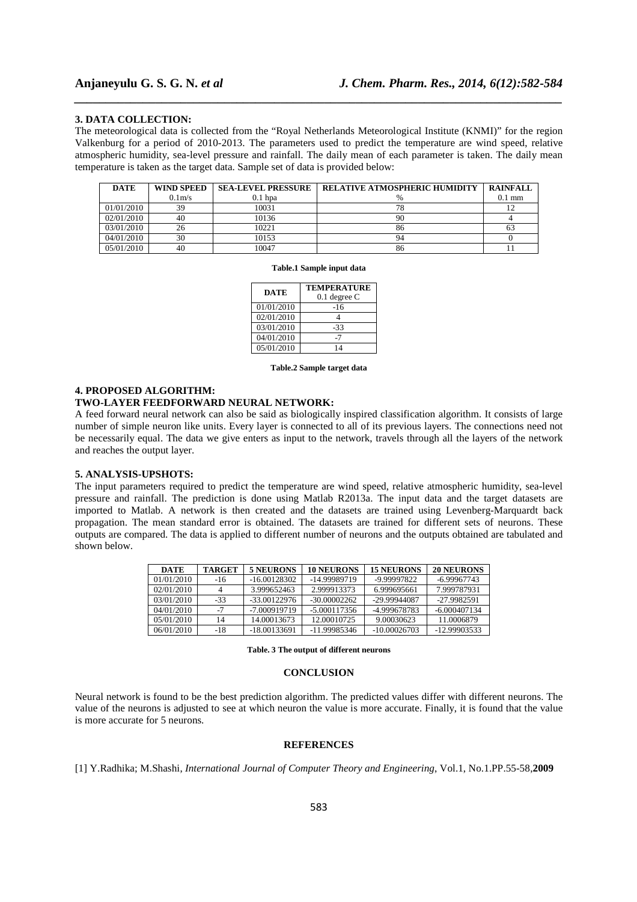## **3. DATA COLLECTION:**

The meteorological data is collected from the "Royal Netherlands Meteorological Institute (KNMI)" for the region Valkenburg for a period of 2010-2013. The parameters used to predict the temperature are wind speed, relative atmospheric humidity, sea-level pressure and rainfall. The daily mean of each parameter is taken. The daily mean temperature is taken as the target data. Sample set of data is provided below:

*\_\_\_\_\_\_\_\_\_\_\_\_\_\_\_\_\_\_\_\_\_\_\_\_\_\_\_\_\_\_\_\_\_\_\_\_\_\_\_\_\_\_\_\_\_\_\_\_\_\_\_\_\_\_\_\_\_\_\_\_\_\_\_\_\_\_\_\_\_\_\_\_\_\_\_\_\_\_*

| <b>DATE</b> | <b>WIND SPEED</b> | <b>SEA-LEVEL PRESSURE</b> | <b>RELATIVE ATMOSPHERIC HUMIDITY</b> | <b>RAINFALL</b>  |
|-------------|-------------------|---------------------------|--------------------------------------|------------------|
|             | 0.1 <sub>m</sub>  | $0.1$ hpa                 |                                      | $0.1 \text{ mm}$ |
| 01/01/2010  | 39                | 10031                     | 70                                   |                  |
| 02/01/2010  | 40                | 10136                     | 90                                   |                  |
| 03/01/2010  | 26                | 10221                     | 86                                   | 63               |
| 04/01/2010  | 30                | 10153                     | 94                                   |                  |
| 05/01/2010  | 40                | 10047                     | 86                                   |                  |

**Table.1 Sample input data** 

| <b>DATE</b> | <b>TEMPERATURE</b><br>$0.1$ degree C |  |  |
|-------------|--------------------------------------|--|--|
| 01/01/2010  | -16                                  |  |  |
| 02/01/2010  |                                      |  |  |
| 03/01/2010  | $-33$                                |  |  |
| 04/01/2010  |                                      |  |  |
| 05/01/2010  | 14                                   |  |  |

**Table.2 Sample target data** 

#### **4. PROPOSED ALGORITHM:**

## **TWO-LAYER FEEDFORWARD NEURAL NETWORK:**

A feed forward neural network can also be said as biologically inspired classification algorithm. It consists of large number of simple neuron like units. Every layer is connected to all of its previous layers. The connections need not be necessarily equal. The data we give enters as input to the network, travels through all the layers of the network and reaches the output layer.

## **5. ANALYSIS-UPSHOTS:**

The input parameters required to predict the temperature are wind speed, relative atmospheric humidity, sea-level pressure and rainfall. The prediction is done using Matlab R2013a. The input data and the target datasets are imported to Matlab. A network is then created and the datasets are trained using Levenberg-Marquardt back propagation. The mean standard error is obtained. The datasets are trained for different sets of neurons. These outputs are compared. The data is applied to different number of neurons and the outputs obtained are tabulated and shown below.

| <b>DATE</b> | <b>TARGET</b> | 5 NEURONS      | <b>10 NEURONS</b> | <b>15 NEURONS</b> | 20 NEURONS     |
|-------------|---------------|----------------|-------------------|-------------------|----------------|
| 01/01/2010  | $-16$         | $-16.00128302$ | -14.99989719      | -9.99997822       | $-6.99967743$  |
| 02/01/2010  |               | 3.999652463    | 2.999913373       | 6.999695661       | 7.999787931    |
| 03/01/2010  | $-33$         | $-33.00122976$ | $-30.00002262$    | -29.99944087      | -27.9982591    |
| 04/01/2010  |               | -7.000919719   | $-5.000117356$    | -4.999678783      | $-6.000407134$ |
| 05/01/2010  | 14            | 14.00013673    | 12.00010725       | 9.00030623        | 11.0006879     |
| 06/01/2010  | $-18$         | $-18.00133691$ | -11.99985346      | $-10.00026703$    | -12.99903533   |

#### **Table. 3 The output of different neurons**

## **CONCLUSION**

Neural network is found to be the best prediction algorithm. The predicted values differ with different neurons. The value of the neurons is adjusted to see at which neuron the value is more accurate. Finally, it is found that the value is more accurate for 5 neurons.

### **REFERENCES**

[1] Y.Radhika; M.Shashi, *International Journal of Computer Theory and Engineering*, Vol.1, No.1.PP.55-58,**2009**